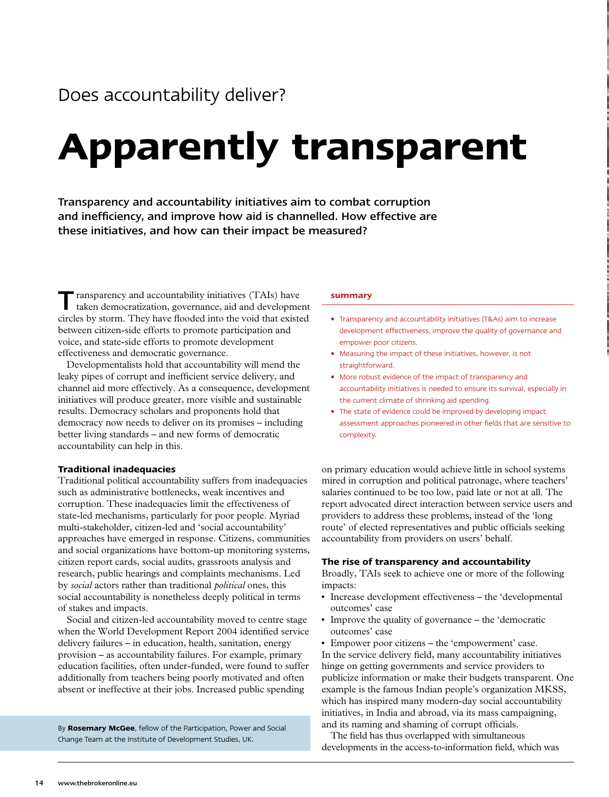# **Apparently transparent**

Transparency and accountability initiatives aim to combat corruption and inefficiency, and improve how aid is channelled. How effective are these initiatives, and how can their impact be measured?

 $\blacksquare$  ransparency and accountability initiatives (TAIs) have taken democratization, governance, aid and development circles by storm. They have flooded into the void that existed between citizen-side efforts to promote participation and voice, and state-side efforts to promote development effectiveness and democratic governance.

Developmentalists hold that accountability will mend the leaky pipes of corrupt and inefficient service delivery, and channel aid more effectively. As a consequence, development initiatives will produce greater, more visible and sustainable results. Democracy scholars and proponents hold that democracy now needs to deliver on its promises – including better living standards – and new forms of democratic accountability can help in this.

# **Traditional inadequacies**

Traditional political accountability suffers from inadequacies such as administrative bottlenecks, weak incentives and corruption. These inadequacies limit the effectiveness of state-led mechanisms, particularly for poor people. Myriad multi-stakeholder, citizen-led and 'social accountability' approaches have emerged in response. Citizens, communities and social organizations have bottom-up monitoring systems, citizen report cards, social audits, grassroots analysis and research, public hearings and complaints mechanisms. Led by *social* actors rather than traditional *political* ones, this social accountability is nonetheless deeply political in terms of stakes and impacts.

Social and citizen-led accountability moved to centre stage when the World Development Report 2004 identified service delivery failures – in education, health, sanitation, energy provision – as accountability failures. For example, primary education facilities, often under-funded, were found to suffer additionally from teachers being poorly motivated and often absent or ineffective at their jobs. Increased public spending

By **Rosemary McGee**, fellow of the Participation, Power and Social Change Team at the Institute of Development Studies, UK.

#### **summary**

- Transparency and accountability initiatives (T&As) aim to increase development effectiveness, improve the quality of governance and empower poor citizens.
- Measuring the impact of these initiatives, however, is not straightforward.
- More robust evidence of the impact of transparency and accountability initiatives is needed to ensure its survival, especially in the current climate of shrinking aid spending.
- The state of evidence could be improved by developing impact assessment approaches pioneered in other fields that are sensitive to complexity.

on primary education would achieve little in school systems mired in corruption and political patronage, where teachers' salaries continued to be too low, paid late or not at all. The report advocated direct interaction between service users and providers to address these problems, instead of the 'long route' of elected representatives and public officials seeking accountability from providers on users' behalf.

#### **The rise of transparency and accountability**

Broadly, TAIs seek to achieve one or more of the following impacts:

- Increase development effectiveness the 'developmental outcomes' case
- Improve the quality of governance the 'democratic outcomes' case
- Empower poor citizens the 'empowerment' case.

In the service delivery field, many accountability initiatives hinge on getting governments and service providers to publicize information or make their budgets transparent. One example is the famous Indian people's organization MKSS, which has inspired many modern-day social accountability initiatives, in India and abroad, via its mass campaigning, and its naming and shaming of corrupt officials.

The field has thus overlapped with simultaneous developments in the access-to-information field, which was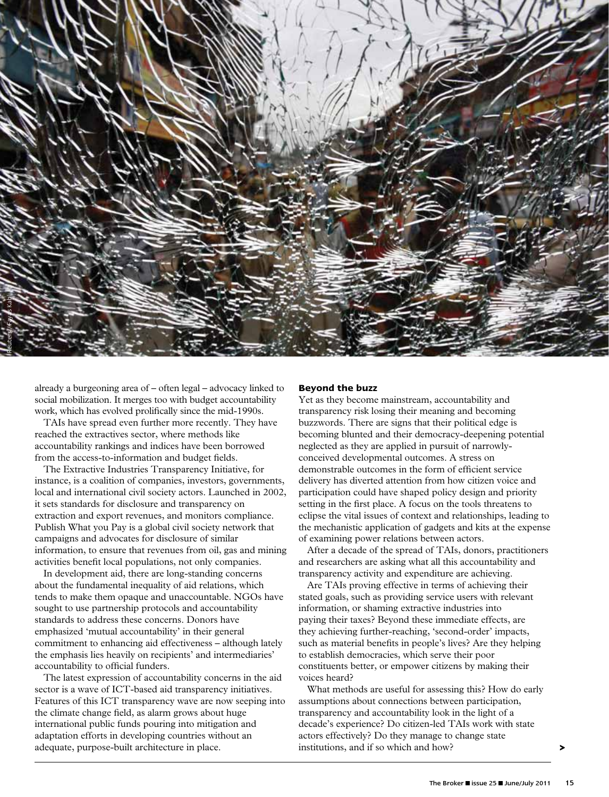

already a burgeoning area of – often legal – advocacy linked to social mobilization. It merges too with budget accountability work, which has evolved prolifically since the mid-1990s.

TAIs have spread even further more recently. They have reached the extractives sector, where methods like accountability rankings and indices have been borrowed from the access-to-information and budget fields.

The Extractive Industries Transparency Initiative, for instance, is a coalition of companies, investors, governments, local and international civil society actors. Launched in 2002, it sets standards for disclosure and transparency on extraction and export revenues, and monitors compliance. Publish What you Pay is a global civil society network that campaigns and advocates for disclosure of similar information, to ensure that revenues from oil, gas and mining activities benefit local populations, not only companies.

In development aid, there are long-standing concerns about the fundamental inequality of aid relations, which tends to make them opaque and unaccountable. NGOs have sought to use partnership protocols and accountability standards to address these concerns. Donors have emphasized 'mutual accountability' in their general commitment to enhancing aid effectiveness – although lately the emphasis lies heavily on recipients' and intermediaries' accountability to official funders.

The latest expression of accountability concerns in the aid sector is a wave of ICT-based aid transparency initiatives. Features of this ICT transparency wave are now seeping into the climate change field, as alarm grows about huge international public funds pouring into mitigation and adaptation efforts in developing countries without an adequate, purpose-built architecture in place.

# **Beyond the buzz**

Yet as they become mainstream, accountability and transparency risk losing their meaning and becoming buzzwords. There are signs that their political edge is becoming blunted and their democracy-deepening potential neglected as they are applied in pursuit of narrowlyconceived developmental outcomes. A stress on demonstrable outcomes in the form of efficient service delivery has diverted attention from how citizen voice and participation could have shaped policy design and priority setting in the first place. A focus on the tools threatens to eclipse the vital issues of context and relationships, leading to the mechanistic application of gadgets and kits at the expense of examining power relations between actors.

After a decade of the spread of TAIs, donors, practitioners and researchers are asking what all this accountability and transparency activity and expenditure are achieving.

Are TAIs proving effective in terms of achieving their stated goals, such as providing service users with relevant information, or shaming extractive industries into paying their taxes? Beyond these immediate effects, are they achieving further-reaching, 'second-order' impacts, such as material benefits in people's lives? Are they helping to establish democracies, which serve their poor constituents better, or empower citizens by making their voices heard?

What methods are useful for assessing this? How do early assumptions about connections between participation, transparency and accountability look in the light of a decade's experience? Do citizen-led TAIs work with state actors effectively? Do they manage to change state institutions, and if so which and how?

**>**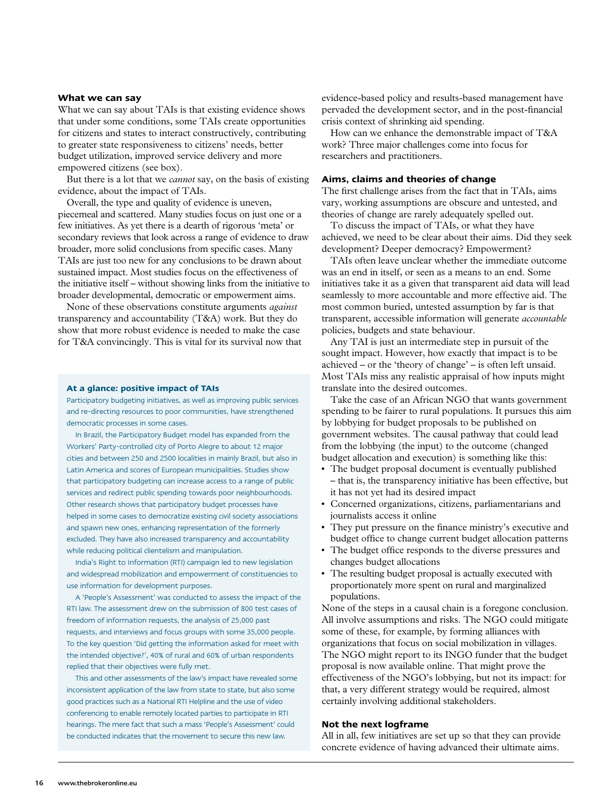#### **What we can say**

What we can say about TAIs is that existing evidence shows that under some conditions, some TAIs create opportunities for citizens and states to interact constructively, contributing to greater state responsiveness to citizens' needs, better budget utilization, improved service delivery and more empowered citizens (see box).

But there is a lot that we *cannot* say, on the basis of existing evidence, about the impact of TAIs.

Overall, the type and quality of evidence is uneven, piecemeal and scattered. Many studies focus on just one or a few initiatives. As yet there is a dearth of rigorous 'meta' or secondary reviews that look across a range of evidence to draw broader, more solid conclusions from specific cases. Many TAIs are just too new for any conclusions to be drawn about sustained impact. Most studies focus on the effectiveness of the initiative itself – without showing links from the initiative to broader developmental, democratic or empowerment aims.

None of these observations constitute arguments *against* transparency and accountability (T&A) work. But they do show that more robust evidence is needed to make the case for T&A convincingly. This is vital for its survival now that

#### **At a glance: positive impact of TAIs**

Participatory budgeting initiatives, as well as improving public services and re-directing resources to poor communities, have strengthened democratic processes in some cases.

In Brazil, the Participatory Budget model has expanded from the Workers' Party-controlled city of Porto Alegre to about 12 major cities and between 250 and 2500 localities in mainly Brazil, but also in Latin America and scores of European municipalities. Studies show that participatory budgeting can increase access to a range of public services and redirect public spending towards poor neighbourhoods. Other research shows that participatory budget processes have helped in some cases to democratize existing civil society associations and spawn new ones, enhancing representation of the formerly excluded. They have also increased transparency and accountability while reducing political clientelism and manipulation.

India's Right to Information (RTI) campaign led to new legislation and widespread mobilization and empowerment of constituencies to use information for development purposes.

A 'People's Assessment' was conducted to assess the impact of the RTI law. The assessment drew on the submission of 800 test cases of freedom of information requests, the analysis of 25,000 past requests, and interviews and focus groups with some 35,000 people. To the key question 'Did getting the information asked for meet with the intended objective?', 40% of rural and 60% of urban respondents replied that their objectives were fully met.

This and other assessments of the law's impact have revealed some inconsistent application of the law from state to state, but also some good practices such as a National RTI Helpline and the use of video conferencing to enable remotely located parties to participate in RTI hearings. The mere fact that such a mass 'People's Assessment' could be conducted indicates that the movement to secure this new law.

evidence-based policy and results-based management have pervaded the development sector, and in the post-financial crisis context of shrinking aid spending.

How can we enhance the demonstrable impact of T&A work? Three major challenges come into focus for researchers and practitioners.

## **Aims, claims and theories of change**

The first challenge arises from the fact that in TAIs, aims vary, working assumptions are obscure and untested, and theories of change are rarely adequately spelled out.

To discuss the impact of TAIs, or what they have achieved, we need to be clear about their aims. Did they seek development? Deeper democracy? Empowerment?

TAIs often leave unclear whether the immediate outcome was an end in itself, or seen as a means to an end. Some initiatives take it as a given that transparent aid data will lead seamlessly to more accountable and more effective aid. The most common buried, untested assumption by far is that transparent, accessible information will generate *accountable* policies, budgets and state behaviour.

Any TAI is just an intermediate step in pursuit of the sought impact. However, how exactly that impact is to be achieved – or the 'theory of change' – is often left unsaid. Most TAIs miss any realistic appraisal of how inputs might translate into the desired outcomes.

Take the case of an African NGO that wants government spending to be fairer to rural populations. It pursues this aim by lobbying for budget proposals to be published on government websites. The causal pathway that could lead from the lobbying (the input) to the outcome (changed budget allocation and execution) is something like this:

- The budget proposal document is eventually published – that is, the transparency initiative has been effective, but it has not yet had its desired impact
- Concerned organizations, citizens, parliamentarians and journalists access it online
- They put pressure on the finance ministry's executive and budget office to change current budget allocation patterns
- The budget office responds to the diverse pressures and changes budget allocations
- The resulting budget proposal is actually executed with proportionately more spent on rural and marginalized populations.

None of the steps in a causal chain is a foregone conclusion. All involve assumptions and risks. The NGO could mitigate some of these, for example, by forming alliances with organizations that focus on social mobilization in villages. The NGO might report to its INGO funder that the budget proposal is now available online. That might prove the effectiveness of the NGO's lobbying, but not its impact: for that, a very different strategy would be required, almost certainly involving additional stakeholders.

#### **Not the next logframe**

All in all, few initiatives are set up so that they can provide concrete evidence of having advanced their ultimate aims.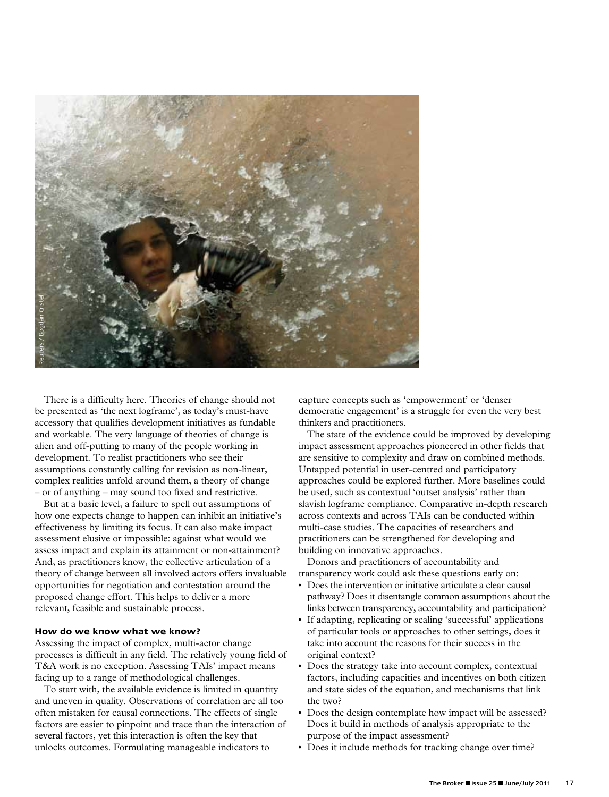

There is a difficulty here. Theories of change should not be presented as 'the next logframe', as today's must-have accessory that qualifies development initiatives as fundable and workable. The very language of theories of change is alien and off-putting to many of the people working in development. To realist practitioners who see their assumptions constantly calling for revision as non-linear, complex realities unfold around them, a theory of change – or of anything – may sound too fixed and restrictive.

But at a basic level, a failure to spell out assumptions of how one expects change to happen can inhibit an initiative's effectiveness by limiting its focus. It can also make impact assessment elusive or impossible: against what would we assess impact and explain its attainment or non-attainment? And, as practitioners know, the collective articulation of a theory of change between all involved actors offers invaluable opportunities for negotiation and contestation around the proposed change effort. This helps to deliver a more relevant, feasible and sustainable process.

#### **How do we know what we know?**

Assessing the impact of complex, multi-actor change processes is difficult in any field. The relatively young field of T&A work is no exception. Assessing TAIs' impact means facing up to a range of methodological challenges.

To start with, the available evidence is limited in quantity and uneven in quality. Observations of correlation are all too often mistaken for causal connections. The effects of single factors are easier to pinpoint and trace than the interaction of several factors, yet this interaction is often the key that unlocks outcomes. Formulating manageable indicators to

capture concepts such as 'empowerment' or 'denser democratic engagement' is a struggle for even the very best thinkers and practitioners.

The state of the evidence could be improved by developing impact assessment approaches pioneered in other fields that are sensitive to complexity and draw on combined methods. Untapped potential in user-centred and participatory approaches could be explored further. More baselines could be used, such as contextual 'outset analysis' rather than slavish logframe compliance. Comparative in-depth research across contexts and across TAIs can be conducted within multi-case studies. The capacities of researchers and practitioners can be strengthened for developing and building on innovative approaches.

Donors and practitioners of accountability and transparency work could ask these questions early on:

- Does the intervention or initiative articulate a clear causal pathway? Does it disentangle common assumptions about the links between transparency, accountability and participation?
- If adapting, replicating or scaling 'successful' applications of particular tools or approaches to other settings, does it take into account the reasons for their success in the original context?
- Does the strategy take into account complex, contextual factors, including capacities and incentives on both citizen and state sides of the equation, and mechanisms that link the two?
- Does the design contemplate how impact will be assessed? Does it build in methods of analysis appropriate to the purpose of the impact assessment?
- Does it include methods for tracking change over time?